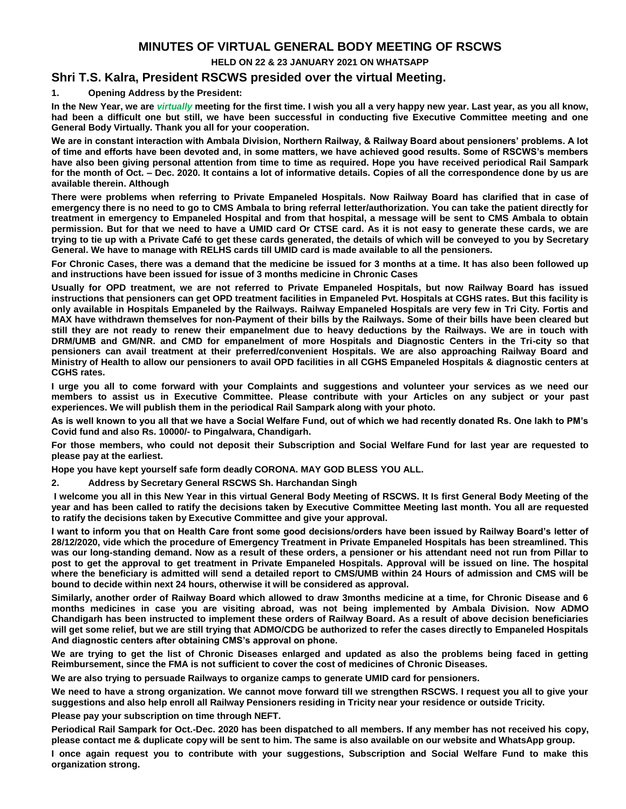## **MINUTES OF VIRTUAL GENERAL BODY MEETING OF RSCWS**

**HELD ON 22 & 23 JANUARY 2021 ON WHATSAPP**

## **Shri T.S. Kalra, President RSCWS presided over the virtual Meeting.**

**1. Opening Address by the President:**

**In the New Year, we are** *virtually* **meeting for the first time. I wish you all a very happy new year. Last year, as you all know, had been a difficult one but still, we have been successful in conducting five Executive Committee meeting and one General Body Virtually. Thank you all for your cooperation.** 

**We are in constant interaction with Ambala Division, Northern Railway, & Railway Board about pensioners' problems. A lot of time and efforts have been devoted and, in some matters, we have achieved good results. Some of RSCWS's members have also been giving personal attention from time to time as required. Hope you have received periodical Rail Sampark for the month of Oct. – Dec. 2020. It contains a lot of informative details. Copies of all the correspondence done by us are available therein. Although**

**There were problems when referring to Private Empaneled Hospitals. Now Railway Board has clarified that in case of emergency there is no need to go to CMS Ambala to bring referral letter/authorization. You can take the patient directly for treatment in emergency to Empaneled Hospital and from that hospital, a message will be sent to CMS Ambala to obtain permission. But for that we need to have a UMID card Or CTSE card. As it is not easy to generate these cards, we are trying to tie up with a Private Café to get these cards generated, the details of which will be conveyed to you by Secretary General. We have to manage with RELHS cards till UMID card is made available to all the pensioners.**

**For Chronic Cases, there was a demand that the medicine be issued for 3 months at a time. It has also been followed up and instructions have been issued for issue of 3 months medicine in Chronic Cases**

**Usually for OPD treatment, we are not referred to Private Empaneled Hospitals, but now Railway Board has issued instructions that pensioners can get OPD treatment facilities in Empaneled Pvt. Hospitals at CGHS rates. But this facility is only available in Hospitals Empaneled by the Railways. Railway Empaneled Hospitals are very few in Tri City. Fortis and MAX have withdrawn themselves for non-Payment of their bills by the Railways. Some of their bills have been cleared but still they are not ready to renew their empanelment due to heavy deductions by the Railways. We are in touch with DRM/UMB and GM/NR. and CMD for empanelment of more Hospitals and Diagnostic Centers in the Tri-city so that pensioners can avail treatment at their preferred/convenient Hospitals. We are also approaching Railway Board and Ministry of Health to allow our pensioners to avail OPD facilities in all CGHS Empaneled Hospitals & diagnostic centers at CGHS rates.**

**I urge you all to come forward with your Complaints and suggestions and volunteer your services as we need our members to assist us in Executive Committee. Please contribute with your Articles on any subject or your past experiences. We will publish them in the periodical Rail Sampark along with your photo.**

**As is well known to you all that we have a Social Welfare Fund, out of which we had recently donated Rs. One lakh to PM's Covid fund and also Rs. 10000/- to Pingalwara, Chandigarh.** 

**For those members, who could not deposit their Subscription and Social Welfare Fund for last year are requested to please pay at the earliest.**

**Hope you have kept yourself safe form deadly CORONA. MAY GOD BLESS YOU ALL.**

**2. Address by Secretary General RSCWS Sh. Harchandan Singh**

**I welcome you all in this New Year in this virtual General Body Meeting of RSCWS. It Is first General Body Meeting of the year and has been called to ratify the decisions taken by Executive Committee Meeting last month. You all are requested to ratify the decisions taken by Executive Committee and give your approval.**

**I want to inform you that on Health Care front some good decisions/orders have been issued by Railway Board's letter of 28/12/2020, vide which the procedure of Emergency Treatment in Private Empaneled Hospitals has been streamlined. This was our long-standing demand. Now as a result of these orders, a pensioner or his attendant need not run from Pillar to post to get the approval to get treatment in Private Empaneled Hospitals. Approval will be issued on line. The hospital where the beneficiary is admitted will send a detailed report to CMS/UMB within 24 Hours of admission and CMS will be bound to decide within next 24 hours, otherwise it will be considered as approval.**

**Similarly, another order of Railway Board which allowed to draw 3months medicine at a time, for Chronic Disease and 6 months medicines in case you are visiting abroad, was not being implemented by Ambala Division. Now ADMO Chandigarh has been instructed to implement these orders of Railway Board. As a result of above decision beneficiaries will get some relief, but we are still trying that ADMO/CDG be authorized to refer the cases directly to Empaneled Hospitals And diagnostic centers after obtaining CMS's approval on phone.**

**We are trying to get the list of Chronic Diseases enlarged and updated as also the problems being faced in getting Reimbursement, since the FMA is not sufficient to cover the cost of medicines of Chronic Diseases.**

**We are also trying to persuade Railways to organize camps to generate UMID card for pensioners.**

**We need to have a strong organization. We cannot move forward till we strengthen RSCWS. I request you all to give your suggestions and also help enroll all Railway Pensioners residing in Tricity near your residence or outside Tricity.**

**Please pay your subscription on time through NEFT.**

**Periodical Rail Sampark for Oct.-Dec. 2020 has been dispatched to all members. If any member has not received his copy, please contact me & duplicate copy will be sent to him. The same is also available on our website and WhatsApp group.**

**I once again request you to contribute with your suggestions, Subscription and Social Welfare Fund to make this organization strong.**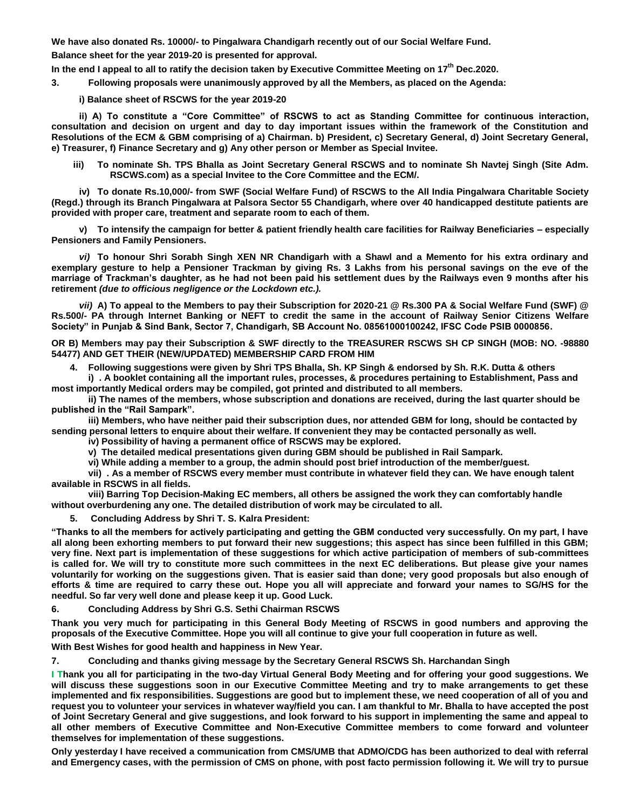**We have also donated Rs. 10000/- to Pingalwara Chandigarh recently out of our Social Welfare Fund.**

**Balance sheet for the year 2019-20 is presented for approval.**

**In the end I appeal to all to ratify the decision taken by Executive Committee Meeting on 17th Dec.2020.**

**3. Following proposals were unanimously approved by all the Members, as placed on the Agenda:**

**i) Balance sheet of RSCWS for the year 2019-20**

**ii) A) To constitute a "Core Committee" of RSCWS to act as Standing Committee for continuous interaction, consultation and decision on urgent and day to day important issues within the framework of the Constitution and Resolutions of the ECM & GBM comprising of a) Chairman. b) President, c) Secretary General, d) Joint Secretary General, e) Treasurer, f) Finance Secretary and g) Any other person or Member as Special Invitee.**

**iii) To nominate Sh. TPS Bhalla as Joint Secretary General RSCWS and to nominate Sh Navtej Singh (Site Adm. RSCWS.com) as a special Invitee to the Core Committee and the ECM/.**

**iv) To donate Rs.10,000/- from SWF (Social Welfare Fund) of RSCWS to the All India Pingalwara Charitable Society (Regd.) through its Branch Pingalwara at Palsora Sector 55 Chandigarh, where over 40 handicapped destitute patients are provided with proper care, treatment and separate room to each of them.**

**v) To intensify the campaign for better & patient friendly health care facilities for Railway Beneficiaries – especially Pensioners and Family Pensioners.** 

*vi)* **To honour Shri Sorabh Singh XEN NR Chandigarh with a Shawl and a Memento for his extra ordinary and exemplary gesture to help a Pensioner Trackman by giving Rs. 3 Lakhs from his personal savings on the eve of the marriage of Trackman's daughter, as he had not been paid his settlement dues by the Railways even 9 months after his retirement** *(due to officious negligence or the Lockdown etc.).*

*vii)* **A) To appeal to the Members to pay their Subscription for 2020-21 @ Rs.300 PA & Social Welfare Fund (SWF) @ Rs.500/- PA through Internet Banking or NEFT to credit the same in the account of Railway Senior Citizens Welfare Society" in Punjab & Sind Bank, Sector 7, Chandigarh, SB Account No. 08561000100242, IFSC Code PSIB 0000856.** 

**OR B) Members may pay their Subscription & SWF directly to the TREASURER RSCWS SH CP SINGH (MOB: NO. -98880 54477) AND GET THEIR (NEW/UPDATED) MEMBERSHIP CARD FROM HIM**

**4. Following suggestions were given by Shri TPS Bhalla, Sh. KP Singh & endorsed by Sh. R.K. Dutta & others**

**i) . A booklet containing all the important rules, processes, & procedures pertaining to Establishment, Pass and most importantly Medical orders may be compiled, got printed and distributed to all members.**

**ii) The names of the members, whose subscription and donations are received, during the last quarter should be published in the "Rail Sampark".**

**iii) Members, who have neither paid their subscription dues, nor attended GBM for long, should be contacted by sending personal letters to enquire about their welfare. If convenient they may be contacted personally as well.**

**iv) Possibility of having a permanent office of RSCWS may be explored.**

**v) The detailed medical presentations given during GBM should be published in Rail Sampark.**

**vi) While adding a member to a group, the admin should post brief introduction of the member/guest.**

**vii) . As a member of RSCWS every member must contribute in whatever field they can. We have enough talent available in RSCWS in all fields.** 

**viii) Barring Top Decision-Making EC members, all others be assigned the work they can comfortably handle without overburdening any one. The detailed distribution of work may be circulated to all.**

**5. Concluding Address by Shri T. S. Kalra President:**

**"Thanks to all the members for actively participating and getting the GBM conducted very successfully. On my part, I have all along been exhorting members to put forward their new suggestions; this aspect has since been fulfilled in this GBM; very fine. Next part is implementation of these suggestions for which active participation of members of sub-committees is called for. We will try to constitute more such committees in the next EC deliberations. But please give your names voluntarily for working on the suggestions given. That is easier said than done; very good proposals but also enough of efforts & time are required to carry these out. Hope you all will appreciate and forward your names to SG/HS for the needful. So far very well done and please keep it up. Good Luck.**

**6. Concluding Address by Shri G.S. Sethi Chairman RSCWS**

**Thank you very much for participating in this General Body Meeting of RSCWS in good numbers and approving the proposals of the Executive Committee. Hope you will all continue to give your full cooperation in future as well.** 

**With Best Wishes for good health and happiness in New Year.**

**7. Concluding and thanks giving message by the Secretary General RSCWS Sh. Harchandan Singh**

**I Thank you all for participating in the two-day Virtual General Body Meeting and for offering your good suggestions. We will discuss these suggestions soon in our Executive Committee Meeting and try to make arrangements to get these implemented and fix responsibilities. Suggestions are good but to implement these, we need cooperation of all of you and request you to volunteer your services in whatever way/field you can. I am thankful to Mr. Bhalla to have accepted the post of Joint Secretary General and give suggestions, and look forward to his support in implementing the same and appeal to all other members of Executive Committee and Non-Executive Committee members to come forward and volunteer themselves for implementation of these suggestions.**

**Only yesterday I have received a communication from CMS/UMB that ADMO/CDG has been authorized to deal with referral and Emergency cases, with the permission of CMS on phone, with post facto permission following it. We will try to pursue**